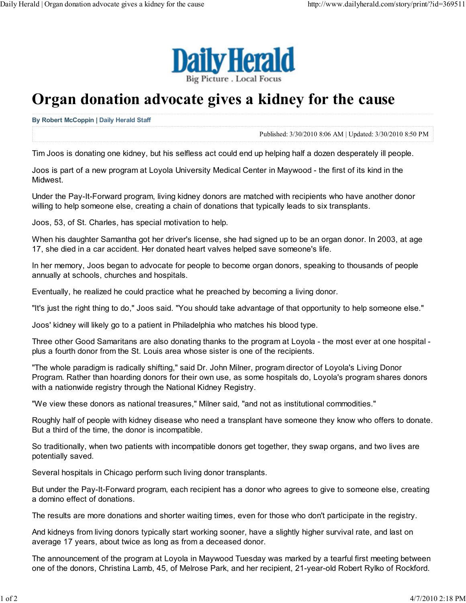

## Organ donation advocate gives a kidney for the cause

By Robert McCoppin | Daily Herald Staff

Published: 3/30/2010 8:06 AM | Updated: 3/30/2010 8:50 PM

Tim Joos is donating one kidney, but his selfless act could end up helping half a dozen desperately ill people.

Joos is part of a new program at Loyola University Medical Center in Maywood - the first of its kind in the Midwest.

Under the Pay-It-Forward program, living kidney donors are matched with recipients who have another donor willing to help someone else, creating a chain of donations that typically leads to six transplants.

Joos, 53, of St. Charles, has special motivation to help.

When his daughter Samantha got her driver's license, she had signed up to be an organ donor. In 2003, at age 17, she died in a car accident. Her donated heart valves helped save someone's life.

In her memory, Joos began to advocate for people to become organ donors, speaking to thousands of people annually at schools, churches and hospitals.

Eventually, he realized he could practice what he preached by becoming a living donor.

"It's just the right thing to do," Joos said. "You should take advantage of that opportunity to help someone else."

Joos' kidney will likely go to a patient in Philadelphia who matches his blood type.

Three other Good Samaritans are also donating thanks to the program at Loyola - the most ever at one hospital plus a fourth donor from the St. Louis area whose sister is one of the recipients.

"The whole paradigm is radically shifting," said Dr. John Milner, program director of Loyola's Living Donor Program. Rather than hoarding donors for their own use, as some hospitals do, Loyola's program shares donors with a nationwide registry through the National Kidney Registry.

"We view these donors as national treasures," Milner said, "and not as institutional commodities."

Roughly half of people with kidney disease who need a transplant have someone they know who offers to donate. But a third of the time, the donor is incompatible.

So traditionally, when two patients with incompatible donors get together, they swap organs, and two lives are potentially saved.

Several hospitals in Chicago perform such living donor transplants.

But under the Pay-It-Forward program, each recipient has a donor who agrees to give to someone else, creating a domino effect of donations.

The results are more donations and shorter waiting times, even for those who don't participate in the registry.

And kidneys from living donors typically start working sooner, have a slightly higher survival rate, and last on average 17 years, about twice as long as from a deceased donor.

The announcement of the program at Loyola in Maywood Tuesday was marked by a tearful first meeting between one of the donors, Christina Lamb, 45, of Melrose Park, and her recipient, 21-year-old Robert Rylko of Rockford.